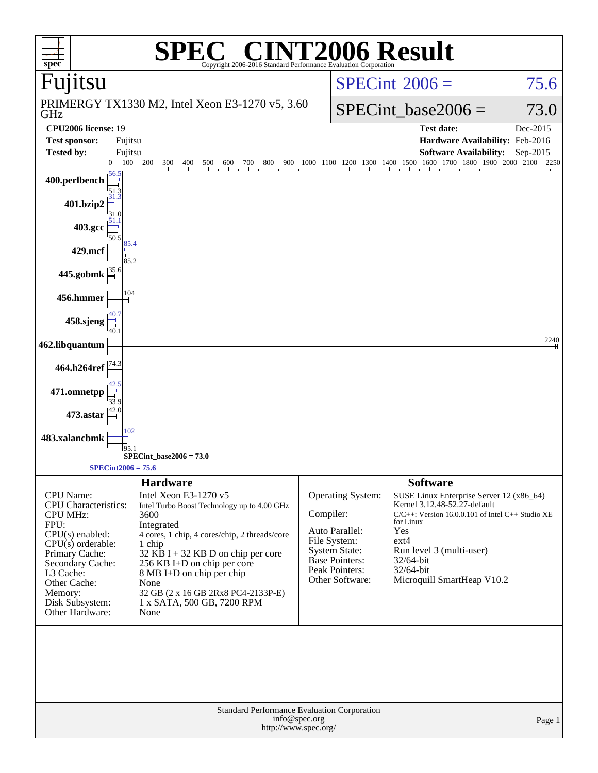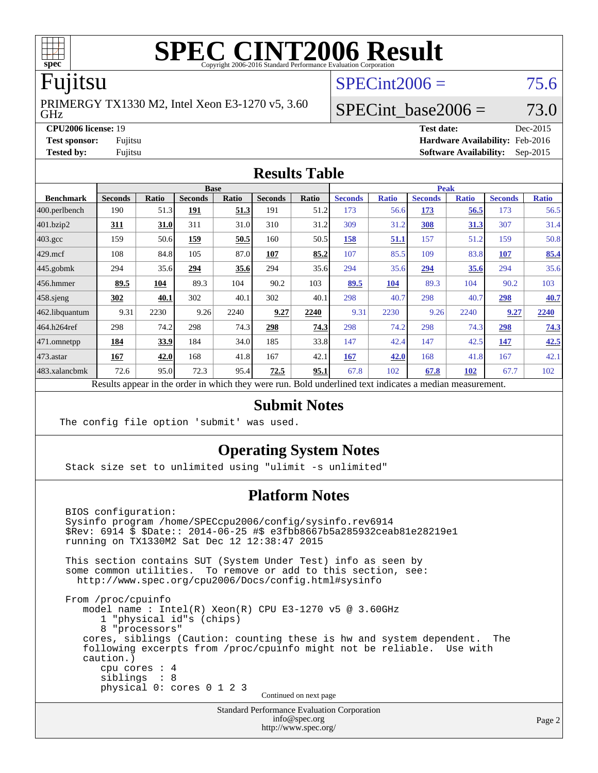

## Fujitsu

GHz PRIMERGY TX1330 M2, Intel Xeon E3-1270 v5, 3.60  $SPECint2006 = 75.6$  $SPECint2006 = 75.6$ 

# SPECint base2006 =  $73.0$

**[CPU2006 license:](http://www.spec.org/auto/cpu2006/Docs/result-fields.html#CPU2006license)** 19 **[Test date:](http://www.spec.org/auto/cpu2006/Docs/result-fields.html#Testdate)** Dec-2015 **[Test sponsor:](http://www.spec.org/auto/cpu2006/Docs/result-fields.html#Testsponsor)** Fujitsu **[Hardware Availability:](http://www.spec.org/auto/cpu2006/Docs/result-fields.html#HardwareAvailability)** Feb-2016 **[Tested by:](http://www.spec.org/auto/cpu2006/Docs/result-fields.html#Testedby)** Fujitsu **[Software Availability:](http://www.spec.org/auto/cpu2006/Docs/result-fields.html#SoftwareAvailability)** Sep-2015

#### **[Results Table](http://www.spec.org/auto/cpu2006/Docs/result-fields.html#ResultsTable)**

| <b>Base</b>      |                                                                                                          |              |                |              |                | <b>Peak</b> |                |              |                |              |                |              |
|------------------|----------------------------------------------------------------------------------------------------------|--------------|----------------|--------------|----------------|-------------|----------------|--------------|----------------|--------------|----------------|--------------|
| <b>Benchmark</b> | <b>Seconds</b>                                                                                           | <b>Ratio</b> | <b>Seconds</b> | <b>Ratio</b> | <b>Seconds</b> | Ratio       | <b>Seconds</b> | <b>Ratio</b> | <b>Seconds</b> | <b>Ratio</b> | <b>Seconds</b> | <b>Ratio</b> |
| 400.perlbench    | 190                                                                                                      | 51.3         | 191            | 51.3         | 191            | 51.2        | 173            | 56.6         | 173            | 56.5         | 173            | 56.5         |
| 401.bzip2        | 311                                                                                                      | 31.0         | 311            | 31.0         | 310            | 31.2        | 309            | 31.2         | 308            | <u>31.3</u>  | 307            | 31.4         |
| $403.\text{gcc}$ | 159                                                                                                      | 50.6         | 159            | 50.5         | 160            | 50.5        | 158            | 51.1         | 157            | 51.2         | 159            | 50.8         |
| $429$ .mcf       | 108                                                                                                      | 84.8         | 105            | 87.0         | 107            | 85.2        | 107            | 85.5         | 109            | 83.8         | <b>107</b>     | 85.4         |
| $445$ .gobmk     | 294                                                                                                      | 35.6         | 294            | 35.6         | 294            | 35.6        | 294            | 35.6         | 294            | 35.6         | 294            | 35.6         |
| $456.$ hmmer     | 89.5                                                                                                     | 104          | 89.3           | 104          | 90.2           | 103         | 89.5           | 104          | 89.3           | 104          | 90.2           | 103          |
| $458$ .sjeng     | 302                                                                                                      | 40.1         | 302            | 40.1         | 302            | 40.1        | 298            | 40.7         | 298            | 40.7         | 298            | 40.7         |
| 462.libquantum   | 9.31                                                                                                     | 2230         | 9.26           | 2240         | 9.27           | 2240        | 9.31           | 2230         | 9.26           | 2240         | 9.27           | 2240         |
| 464.h264ref      | 298                                                                                                      | 74.2         | 298            | 74.3         | 298            | 74.3        | 298            | 74.2         | 298            | 74.3         | 298            | 74.3         |
| $ 471$ .omnetpp  | 184                                                                                                      | 33.9         | 184            | 34.0         | 185            | 33.8        | 147            | 42.4         | 147            | 42.5         | 147            | 42.5         |
| $473$ . astar    | 167                                                                                                      | 42.0         | 168            | 41.8         | 167            | 42.1        | 167            | 42.0         | 168            | 41.8         | 167            | 42.1         |
| 483.xalancbmk    | 72.6                                                                                                     | 95.0         | 72.3           | 95.4         | 72.5           | 95.1        | 67.8           | 102          | 67.8           | <b>102</b>   | 67.7           | 102          |
|                  | Results appear in the order in which they were run. Bold underlined text indicates a median measurement. |              |                |              |                |             |                |              |                |              |                |              |

#### **[Submit Notes](http://www.spec.org/auto/cpu2006/Docs/result-fields.html#SubmitNotes)**

The config file option 'submit' was used.

### **[Operating System Notes](http://www.spec.org/auto/cpu2006/Docs/result-fields.html#OperatingSystemNotes)**

Stack size set to unlimited using "ulimit -s unlimited"

#### **[Platform Notes](http://www.spec.org/auto/cpu2006/Docs/result-fields.html#PlatformNotes)**

 BIOS configuration: Sysinfo program /home/SPECcpu2006/config/sysinfo.rev6914 \$Rev: 6914 \$ \$Date:: 2014-06-25 #\$ e3fbb8667b5a285932ceab81e28219e1 running on TX1330M2 Sat Dec 12 12:38:47 2015 This section contains SUT (System Under Test) info as seen by some common utilities. To remove or add to this section, see: <http://www.spec.org/cpu2006/Docs/config.html#sysinfo> From /proc/cpuinfo model name : Intel(R) Xeon(R) CPU E3-1270 v5 @ 3.60GHz 1 "physical id"s (chips) 8 "processors" cores, siblings (Caution: counting these is hw and system dependent. The following excerpts from /proc/cpuinfo might not be reliable. Use with caution.) cpu cores : 4 siblings : 8 physical 0: cores 0 1 2 3 Continued on next page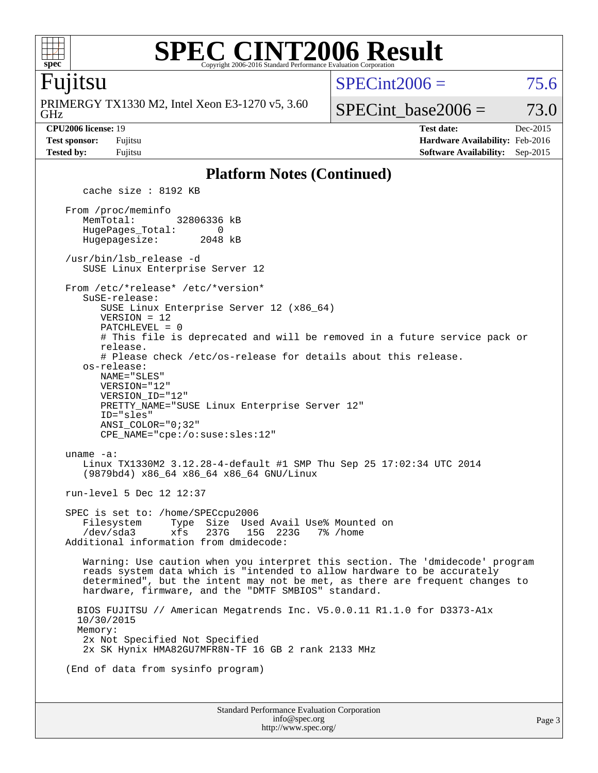

#### **[SPEC CINT2006 Result](http://www.spec.org/auto/cpu2006/Docs/result-fields.html#SPECCINT2006Result)** Copyright 2006-2016 Standard Performance Evaluation Corpora

### Fujitsu

GHz PRIMERGY TX1330 M2, Intel Xeon E3-1270 v5, 3.60  $SPECint2006 = 75.6$  $SPECint2006 = 75.6$ 

SPECint base2006 =  $73.0$ 

**[CPU2006 license:](http://www.spec.org/auto/cpu2006/Docs/result-fields.html#CPU2006license)** 19 **[Test date:](http://www.spec.org/auto/cpu2006/Docs/result-fields.html#Testdate)** Dec-2015 **[Test sponsor:](http://www.spec.org/auto/cpu2006/Docs/result-fields.html#Testsponsor)** Fujitsu **[Hardware Availability:](http://www.spec.org/auto/cpu2006/Docs/result-fields.html#HardwareAvailability)** Feb-2016 **[Tested by:](http://www.spec.org/auto/cpu2006/Docs/result-fields.html#Testedby)** Fujitsu **[Software Availability:](http://www.spec.org/auto/cpu2006/Docs/result-fields.html#SoftwareAvailability)** Sep-2015

#### **[Platform Notes \(Continued\)](http://www.spec.org/auto/cpu2006/Docs/result-fields.html#PlatformNotes)**

Standard Performance Evaluation Corporation [info@spec.org](mailto:info@spec.org) cache size : 8192 KB From /proc/meminfo MemTotal: 32806336 kB HugePages\_Total: 0<br>Hugepagesize: 2048 kB Hugepagesize: /usr/bin/lsb\_release -d SUSE Linux Enterprise Server 12 From /etc/\*release\* /etc/\*version\* SuSE-release: SUSE Linux Enterprise Server 12 (x86\_64) VERSION = 12 PATCHLEVEL = 0 # This file is deprecated and will be removed in a future service pack or release. # Please check /etc/os-release for details about this release. os-release: NAME="SLES" VERSION="12" VERSION\_ID="12" PRETTY\_NAME="SUSE Linux Enterprise Server 12" ID="sles" ANSI\_COLOR="0;32" CPE\_NAME="cpe:/o:suse:sles:12" uname -a: Linux TX1330M2 3.12.28-4-default #1 SMP Thu Sep 25 17:02:34 UTC 2014 (9879bd4) x86\_64 x86\_64 x86\_64 GNU/Linux run-level 5 Dec 12 12:37 SPEC is set to: /home/SPECcpu2006 Filesystem Type Size Used Avail Use% Mounted on /dev/sda3 xfs 237G 15G 223G 7% /home Additional information from dmidecode: Warning: Use caution when you interpret this section. The 'dmidecode' program reads system data which is "intended to allow hardware to be accurately determined", but the intent may not be met, as there are frequent changes to hardware, firmware, and the "DMTF SMBIOS" standard. BIOS FUJITSU // American Megatrends Inc. V5.0.0.11 R1.1.0 for D3373-A1x 10/30/2015 Memory: 2x Not Specified Not Specified 2x SK Hynix HMA82GU7MFR8N-TF 16 GB 2 rank 2133 MHz (End of data from sysinfo program)

<http://www.spec.org/>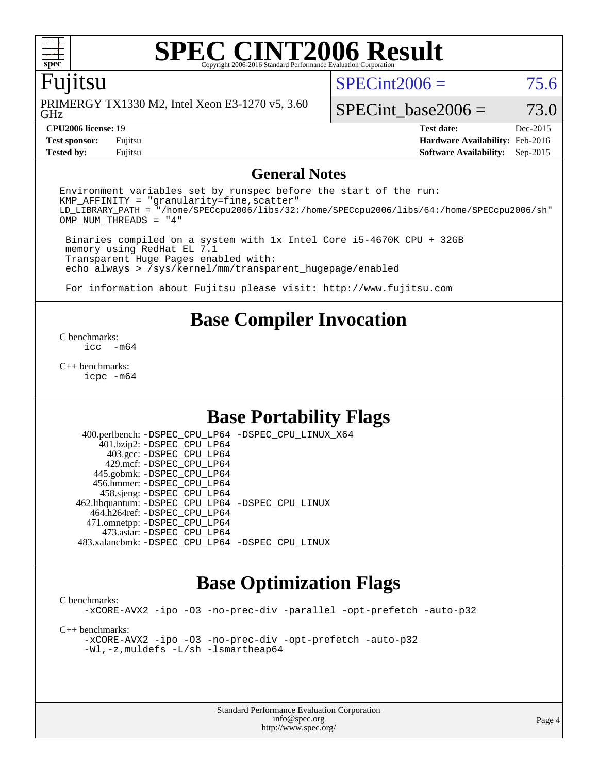

## Fujitsu

GHz PRIMERGY TX1330 M2, Intel Xeon E3-1270 v5, 3.60  $SPECint2006 = 75.6$  $SPECint2006 = 75.6$ 

SPECint base2006 =  $73.0$ 

**[Tested by:](http://www.spec.org/auto/cpu2006/Docs/result-fields.html#Testedby)** Fujitsu **[Software Availability:](http://www.spec.org/auto/cpu2006/Docs/result-fields.html#SoftwareAvailability)** Sep-2015

**[CPU2006 license:](http://www.spec.org/auto/cpu2006/Docs/result-fields.html#CPU2006license)** 19 **[Test date:](http://www.spec.org/auto/cpu2006/Docs/result-fields.html#Testdate)** Dec-2015 **[Test sponsor:](http://www.spec.org/auto/cpu2006/Docs/result-fields.html#Testsponsor)** Fujitsu **[Hardware Availability:](http://www.spec.org/auto/cpu2006/Docs/result-fields.html#HardwareAvailability)** Feb-2016

#### **[General Notes](http://www.spec.org/auto/cpu2006/Docs/result-fields.html#GeneralNotes)**

Environment variables set by runspec before the start of the run:  $KMP$  AFFINITY = "granularity=fine, scatter" LD\_LIBRARY\_PATH = "/home/SPECcpu2006/libs/32:/home/SPECcpu2006/libs/64:/home/SPECcpu2006/sh" OMP\_NUM\_THREADS = "4"

 Binaries compiled on a system with 1x Intel Core i5-4670K CPU + 32GB memory using RedHat EL 7.1 Transparent Huge Pages enabled with: echo always > /sys/kernel/mm/transparent\_hugepage/enabled

For information about Fujitsu please visit: <http://www.fujitsu.com>

# **[Base Compiler Invocation](http://www.spec.org/auto/cpu2006/Docs/result-fields.html#BaseCompilerInvocation)**

[C benchmarks](http://www.spec.org/auto/cpu2006/Docs/result-fields.html#Cbenchmarks):  $inc - m64$ 

[C++ benchmarks:](http://www.spec.org/auto/cpu2006/Docs/result-fields.html#CXXbenchmarks) [icpc -m64](http://www.spec.org/cpu2006/results/res2016q1/cpu2006-20160111-38703.flags.html#user_CXXbase_intel_icpc_64bit_fc66a5337ce925472a5c54ad6a0de310)

# **[Base Portability Flags](http://www.spec.org/auto/cpu2006/Docs/result-fields.html#BasePortabilityFlags)**

 400.perlbench: [-DSPEC\\_CPU\\_LP64](http://www.spec.org/cpu2006/results/res2016q1/cpu2006-20160111-38703.flags.html#b400.perlbench_basePORTABILITY_DSPEC_CPU_LP64) [-DSPEC\\_CPU\\_LINUX\\_X64](http://www.spec.org/cpu2006/results/res2016q1/cpu2006-20160111-38703.flags.html#b400.perlbench_baseCPORTABILITY_DSPEC_CPU_LINUX_X64) 401.bzip2: [-DSPEC\\_CPU\\_LP64](http://www.spec.org/cpu2006/results/res2016q1/cpu2006-20160111-38703.flags.html#suite_basePORTABILITY401_bzip2_DSPEC_CPU_LP64) 403.gcc: [-DSPEC\\_CPU\\_LP64](http://www.spec.org/cpu2006/results/res2016q1/cpu2006-20160111-38703.flags.html#suite_basePORTABILITY403_gcc_DSPEC_CPU_LP64) 429.mcf: [-DSPEC\\_CPU\\_LP64](http://www.spec.org/cpu2006/results/res2016q1/cpu2006-20160111-38703.flags.html#suite_basePORTABILITY429_mcf_DSPEC_CPU_LP64) 445.gobmk: [-DSPEC\\_CPU\\_LP64](http://www.spec.org/cpu2006/results/res2016q1/cpu2006-20160111-38703.flags.html#suite_basePORTABILITY445_gobmk_DSPEC_CPU_LP64) 456.hmmer: [-DSPEC\\_CPU\\_LP64](http://www.spec.org/cpu2006/results/res2016q1/cpu2006-20160111-38703.flags.html#suite_basePORTABILITY456_hmmer_DSPEC_CPU_LP64) 458.sjeng: [-DSPEC\\_CPU\\_LP64](http://www.spec.org/cpu2006/results/res2016q1/cpu2006-20160111-38703.flags.html#suite_basePORTABILITY458_sjeng_DSPEC_CPU_LP64) 462.libquantum: [-DSPEC\\_CPU\\_LP64](http://www.spec.org/cpu2006/results/res2016q1/cpu2006-20160111-38703.flags.html#suite_basePORTABILITY462_libquantum_DSPEC_CPU_LP64) [-DSPEC\\_CPU\\_LINUX](http://www.spec.org/cpu2006/results/res2016q1/cpu2006-20160111-38703.flags.html#b462.libquantum_baseCPORTABILITY_DSPEC_CPU_LINUX) 464.h264ref: [-DSPEC\\_CPU\\_LP64](http://www.spec.org/cpu2006/results/res2016q1/cpu2006-20160111-38703.flags.html#suite_basePORTABILITY464_h264ref_DSPEC_CPU_LP64) 471.omnetpp: [-DSPEC\\_CPU\\_LP64](http://www.spec.org/cpu2006/results/res2016q1/cpu2006-20160111-38703.flags.html#suite_basePORTABILITY471_omnetpp_DSPEC_CPU_LP64) 473.astar: [-DSPEC\\_CPU\\_LP64](http://www.spec.org/cpu2006/results/res2016q1/cpu2006-20160111-38703.flags.html#suite_basePORTABILITY473_astar_DSPEC_CPU_LP64) 483.xalancbmk: [-DSPEC\\_CPU\\_LP64](http://www.spec.org/cpu2006/results/res2016q1/cpu2006-20160111-38703.flags.html#suite_basePORTABILITY483_xalancbmk_DSPEC_CPU_LP64) [-DSPEC\\_CPU\\_LINUX](http://www.spec.org/cpu2006/results/res2016q1/cpu2006-20160111-38703.flags.html#b483.xalancbmk_baseCXXPORTABILITY_DSPEC_CPU_LINUX)

## **[Base Optimization Flags](http://www.spec.org/auto/cpu2006/Docs/result-fields.html#BaseOptimizationFlags)**

[C benchmarks](http://www.spec.org/auto/cpu2006/Docs/result-fields.html#Cbenchmarks): [-xCORE-AVX2](http://www.spec.org/cpu2006/results/res2016q1/cpu2006-20160111-38703.flags.html#user_CCbase_f-xAVX2_5f5fc0cbe2c9f62c816d3e45806c70d7) [-ipo](http://www.spec.org/cpu2006/results/res2016q1/cpu2006-20160111-38703.flags.html#user_CCbase_f-ipo) [-O3](http://www.spec.org/cpu2006/results/res2016q1/cpu2006-20160111-38703.flags.html#user_CCbase_f-O3) [-no-prec-div](http://www.spec.org/cpu2006/results/res2016q1/cpu2006-20160111-38703.flags.html#user_CCbase_f-no-prec-div) [-parallel](http://www.spec.org/cpu2006/results/res2016q1/cpu2006-20160111-38703.flags.html#user_CCbase_f-parallel) [-opt-prefetch](http://www.spec.org/cpu2006/results/res2016q1/cpu2006-20160111-38703.flags.html#user_CCbase_f-opt-prefetch) [-auto-p32](http://www.spec.org/cpu2006/results/res2016q1/cpu2006-20160111-38703.flags.html#user_CCbase_f-auto-p32) [C++ benchmarks:](http://www.spec.org/auto/cpu2006/Docs/result-fields.html#CXXbenchmarks) [-xCORE-AVX2](http://www.spec.org/cpu2006/results/res2016q1/cpu2006-20160111-38703.flags.html#user_CXXbase_f-xAVX2_5f5fc0cbe2c9f62c816d3e45806c70d7) [-ipo](http://www.spec.org/cpu2006/results/res2016q1/cpu2006-20160111-38703.flags.html#user_CXXbase_f-ipo) [-O3](http://www.spec.org/cpu2006/results/res2016q1/cpu2006-20160111-38703.flags.html#user_CXXbase_f-O3) [-no-prec-div](http://www.spec.org/cpu2006/results/res2016q1/cpu2006-20160111-38703.flags.html#user_CXXbase_f-no-prec-div) [-opt-prefetch](http://www.spec.org/cpu2006/results/res2016q1/cpu2006-20160111-38703.flags.html#user_CXXbase_f-opt-prefetch) [-auto-p32](http://www.spec.org/cpu2006/results/res2016q1/cpu2006-20160111-38703.flags.html#user_CXXbase_f-auto-p32) [-Wl,-z,muldefs](http://www.spec.org/cpu2006/results/res2016q1/cpu2006-20160111-38703.flags.html#user_CXXbase_link_force_multiple1_74079c344b956b9658436fd1b6dd3a8a) [-L/sh -lsmartheap64](http://www.spec.org/cpu2006/results/res2016q1/cpu2006-20160111-38703.flags.html#user_CXXbase_SmartHeap64_ed4ef857ce90951921efb0d91eb88472)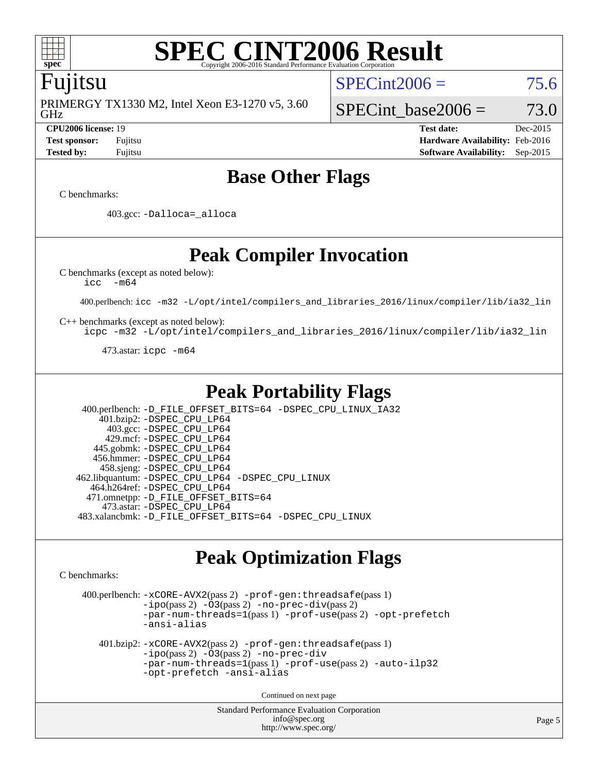

### Fujitsu

GHz PRIMERGY TX1330 M2, Intel Xeon E3-1270 v5, 3.60  $SPECint2006 = 75.6$  $SPECint2006 = 75.6$ 

SPECint base2006 =  $73.0$ 

**[CPU2006 license:](http://www.spec.org/auto/cpu2006/Docs/result-fields.html#CPU2006license)** 19 **[Test date:](http://www.spec.org/auto/cpu2006/Docs/result-fields.html#Testdate)** Dec-2015 **[Test sponsor:](http://www.spec.org/auto/cpu2006/Docs/result-fields.html#Testsponsor)** Fujitsu **[Hardware Availability:](http://www.spec.org/auto/cpu2006/Docs/result-fields.html#HardwareAvailability)** Feb-2016 **[Tested by:](http://www.spec.org/auto/cpu2006/Docs/result-fields.html#Testedby)** Fujitsu **[Software Availability:](http://www.spec.org/auto/cpu2006/Docs/result-fields.html#SoftwareAvailability)** Sep-2015

# **[Base Other Flags](http://www.spec.org/auto/cpu2006/Docs/result-fields.html#BaseOtherFlags)**

[C benchmarks](http://www.spec.org/auto/cpu2006/Docs/result-fields.html#Cbenchmarks):

403.gcc: [-Dalloca=\\_alloca](http://www.spec.org/cpu2006/results/res2016q1/cpu2006-20160111-38703.flags.html#b403.gcc_baseEXTRA_CFLAGS_Dalloca_be3056838c12de2578596ca5467af7f3)

**[Peak Compiler Invocation](http://www.spec.org/auto/cpu2006/Docs/result-fields.html#PeakCompilerInvocation)**

[C benchmarks \(except as noted below\)](http://www.spec.org/auto/cpu2006/Docs/result-fields.html#Cbenchmarksexceptasnotedbelow):

[icc -m64](http://www.spec.org/cpu2006/results/res2016q1/cpu2006-20160111-38703.flags.html#user_CCpeak_intel_icc_64bit_f346026e86af2a669e726fe758c88044)

400.perlbench: [icc -m32 -L/opt/intel/compilers\\_and\\_libraries\\_2016/linux/compiler/lib/ia32\\_lin](http://www.spec.org/cpu2006/results/res2016q1/cpu2006-20160111-38703.flags.html#user_peakCCLD400_perlbench_intel_icc_e10256ba5924b668798078a321b0cb3f)

[C++ benchmarks \(except as noted below\):](http://www.spec.org/auto/cpu2006/Docs/result-fields.html#CXXbenchmarksexceptasnotedbelow)

[icpc -m32 -L/opt/intel/compilers\\_and\\_libraries\\_2016/linux/compiler/lib/ia32\\_lin](http://www.spec.org/cpu2006/results/res2016q1/cpu2006-20160111-38703.flags.html#user_CXXpeak_intel_icpc_b4f50a394bdb4597aa5879c16bc3f5c5)

473.astar: [icpc -m64](http://www.spec.org/cpu2006/results/res2016q1/cpu2006-20160111-38703.flags.html#user_peakCXXLD473_astar_intel_icpc_64bit_fc66a5337ce925472a5c54ad6a0de310)

# **[Peak Portability Flags](http://www.spec.org/auto/cpu2006/Docs/result-fields.html#PeakPortabilityFlags)**

 400.perlbench: [-D\\_FILE\\_OFFSET\\_BITS=64](http://www.spec.org/cpu2006/results/res2016q1/cpu2006-20160111-38703.flags.html#user_peakPORTABILITY400_perlbench_file_offset_bits_64_438cf9856305ebd76870a2c6dc2689ab) [-DSPEC\\_CPU\\_LINUX\\_IA32](http://www.spec.org/cpu2006/results/res2016q1/cpu2006-20160111-38703.flags.html#b400.perlbench_peakCPORTABILITY_DSPEC_CPU_LINUX_IA32) 401.bzip2: [-DSPEC\\_CPU\\_LP64](http://www.spec.org/cpu2006/results/res2016q1/cpu2006-20160111-38703.flags.html#suite_peakPORTABILITY401_bzip2_DSPEC_CPU_LP64) 403.gcc: [-DSPEC\\_CPU\\_LP64](http://www.spec.org/cpu2006/results/res2016q1/cpu2006-20160111-38703.flags.html#suite_peakPORTABILITY403_gcc_DSPEC_CPU_LP64) 429.mcf: [-DSPEC\\_CPU\\_LP64](http://www.spec.org/cpu2006/results/res2016q1/cpu2006-20160111-38703.flags.html#suite_peakPORTABILITY429_mcf_DSPEC_CPU_LP64) 445.gobmk: [-DSPEC\\_CPU\\_LP64](http://www.spec.org/cpu2006/results/res2016q1/cpu2006-20160111-38703.flags.html#suite_peakPORTABILITY445_gobmk_DSPEC_CPU_LP64) 456.hmmer: [-DSPEC\\_CPU\\_LP64](http://www.spec.org/cpu2006/results/res2016q1/cpu2006-20160111-38703.flags.html#suite_peakPORTABILITY456_hmmer_DSPEC_CPU_LP64) 458.sjeng: [-DSPEC\\_CPU\\_LP64](http://www.spec.org/cpu2006/results/res2016q1/cpu2006-20160111-38703.flags.html#suite_peakPORTABILITY458_sjeng_DSPEC_CPU_LP64) 462.libquantum: [-DSPEC\\_CPU\\_LP64](http://www.spec.org/cpu2006/results/res2016q1/cpu2006-20160111-38703.flags.html#suite_peakPORTABILITY462_libquantum_DSPEC_CPU_LP64) [-DSPEC\\_CPU\\_LINUX](http://www.spec.org/cpu2006/results/res2016q1/cpu2006-20160111-38703.flags.html#b462.libquantum_peakCPORTABILITY_DSPEC_CPU_LINUX) 464.h264ref: [-DSPEC\\_CPU\\_LP64](http://www.spec.org/cpu2006/results/res2016q1/cpu2006-20160111-38703.flags.html#suite_peakPORTABILITY464_h264ref_DSPEC_CPU_LP64) 471.omnetpp: [-D\\_FILE\\_OFFSET\\_BITS=64](http://www.spec.org/cpu2006/results/res2016q1/cpu2006-20160111-38703.flags.html#user_peakPORTABILITY471_omnetpp_file_offset_bits_64_438cf9856305ebd76870a2c6dc2689ab) 473.astar: [-DSPEC\\_CPU\\_LP64](http://www.spec.org/cpu2006/results/res2016q1/cpu2006-20160111-38703.flags.html#suite_peakPORTABILITY473_astar_DSPEC_CPU_LP64) 483.xalancbmk: [-D\\_FILE\\_OFFSET\\_BITS=64](http://www.spec.org/cpu2006/results/res2016q1/cpu2006-20160111-38703.flags.html#user_peakPORTABILITY483_xalancbmk_file_offset_bits_64_438cf9856305ebd76870a2c6dc2689ab) [-DSPEC\\_CPU\\_LINUX](http://www.spec.org/cpu2006/results/res2016q1/cpu2006-20160111-38703.flags.html#b483.xalancbmk_peakCXXPORTABILITY_DSPEC_CPU_LINUX)

# **[Peak Optimization Flags](http://www.spec.org/auto/cpu2006/Docs/result-fields.html#PeakOptimizationFlags)**

[C benchmarks](http://www.spec.org/auto/cpu2006/Docs/result-fields.html#Cbenchmarks):

 400.perlbench: [-xCORE-AVX2](http://www.spec.org/cpu2006/results/res2016q1/cpu2006-20160111-38703.flags.html#user_peakPASS2_CFLAGSPASS2_LDCFLAGS400_perlbench_f-xAVX2_5f5fc0cbe2c9f62c816d3e45806c70d7)(pass 2) [-prof-gen:threadsafe](http://www.spec.org/cpu2006/results/res2016q1/cpu2006-20160111-38703.flags.html#user_peakPASS1_CFLAGSPASS1_LDCFLAGS400_perlbench_prof_gen_21a26eb79f378b550acd7bec9fe4467a)(pass 1)  $-i\text{po}(pass 2) -O3(pass 2)$  $-i\text{po}(pass 2) -O3(pass 2)$  $-i\text{po}(pass 2) -O3(pass 2)$  [-no-prec-div](http://www.spec.org/cpu2006/results/res2016q1/cpu2006-20160111-38703.flags.html#user_peakPASS2_CFLAGSPASS2_LDCFLAGS400_perlbench_f-no-prec-div)(pass 2) [-par-num-threads=1](http://www.spec.org/cpu2006/results/res2016q1/cpu2006-20160111-38703.flags.html#user_peakPASS1_CFLAGSPASS1_LDCFLAGS400_perlbench_par_num_threads_786a6ff141b4e9e90432e998842df6c2)(pass 1) [-prof-use](http://www.spec.org/cpu2006/results/res2016q1/cpu2006-20160111-38703.flags.html#user_peakPASS2_CFLAGSPASS2_LDCFLAGS400_perlbench_prof_use_bccf7792157ff70d64e32fe3e1250b55)(pass 2) [-opt-prefetch](http://www.spec.org/cpu2006/results/res2016q1/cpu2006-20160111-38703.flags.html#user_peakCOPTIMIZE400_perlbench_f-opt-prefetch) [-ansi-alias](http://www.spec.org/cpu2006/results/res2016q1/cpu2006-20160111-38703.flags.html#user_peakCOPTIMIZE400_perlbench_f-ansi-alias) 401.bzip2: [-xCORE-AVX2](http://www.spec.org/cpu2006/results/res2016q1/cpu2006-20160111-38703.flags.html#user_peakPASS2_CFLAGSPASS2_LDCFLAGS401_bzip2_f-xAVX2_5f5fc0cbe2c9f62c816d3e45806c70d7)(pass 2) [-prof-gen:threadsafe](http://www.spec.org/cpu2006/results/res2016q1/cpu2006-20160111-38703.flags.html#user_peakPASS1_CFLAGSPASS1_LDCFLAGS401_bzip2_prof_gen_21a26eb79f378b550acd7bec9fe4467a)(pass 1) [-ipo](http://www.spec.org/cpu2006/results/res2016q1/cpu2006-20160111-38703.flags.html#user_peakPASS2_CFLAGSPASS2_LDCFLAGS401_bzip2_f-ipo)(pass 2) [-O3](http://www.spec.org/cpu2006/results/res2016q1/cpu2006-20160111-38703.flags.html#user_peakPASS2_CFLAGSPASS2_LDCFLAGS401_bzip2_f-O3)(pass 2) [-no-prec-div](http://www.spec.org/cpu2006/results/res2016q1/cpu2006-20160111-38703.flags.html#user_peakCOPTIMIZEPASS2_CFLAGSPASS2_LDCFLAGS401_bzip2_f-no-prec-div) [-par-num-threads=1](http://www.spec.org/cpu2006/results/res2016q1/cpu2006-20160111-38703.flags.html#user_peakPASS1_CFLAGSPASS1_LDCFLAGS401_bzip2_par_num_threads_786a6ff141b4e9e90432e998842df6c2)(pass 1) [-prof-use](http://www.spec.org/cpu2006/results/res2016q1/cpu2006-20160111-38703.flags.html#user_peakPASS2_CFLAGSPASS2_LDCFLAGS401_bzip2_prof_use_bccf7792157ff70d64e32fe3e1250b55)(pass 2) [-auto-ilp32](http://www.spec.org/cpu2006/results/res2016q1/cpu2006-20160111-38703.flags.html#user_peakCOPTIMIZE401_bzip2_f-auto-ilp32) [-opt-prefetch](http://www.spec.org/cpu2006/results/res2016q1/cpu2006-20160111-38703.flags.html#user_peakCOPTIMIZE401_bzip2_f-opt-prefetch) [-ansi-alias](http://www.spec.org/cpu2006/results/res2016q1/cpu2006-20160111-38703.flags.html#user_peakCOPTIMIZE401_bzip2_f-ansi-alias)

Continued on next page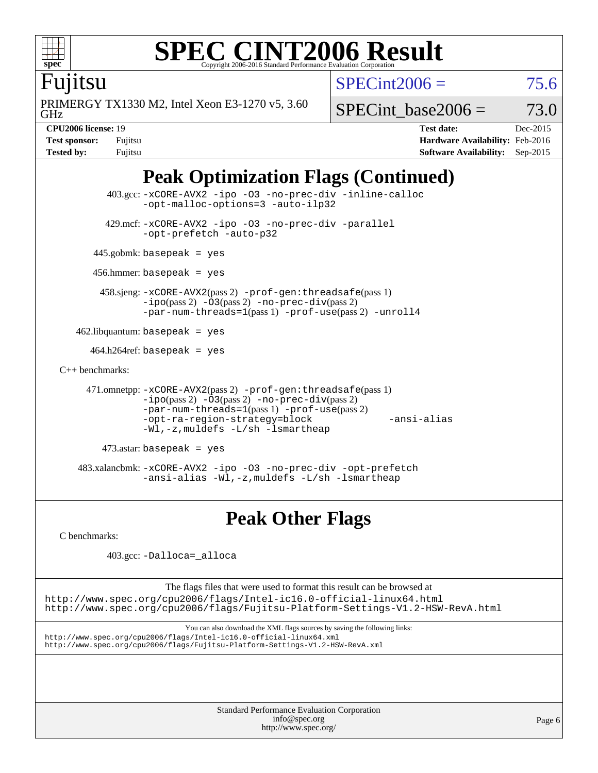

# Fujitsu

GHz PRIMERGY TX1330 M2, Intel Xeon E3-1270 v5, 3.60  $SPECint2006 = 75.6$  $SPECint2006 = 75.6$ 

SPECint base2006 =  $73.0$ 

**[CPU2006 license:](http://www.spec.org/auto/cpu2006/Docs/result-fields.html#CPU2006license)** 19 **[Test date:](http://www.spec.org/auto/cpu2006/Docs/result-fields.html#Testdate)** Dec-2015 **[Test sponsor:](http://www.spec.org/auto/cpu2006/Docs/result-fields.html#Testsponsor)** Fujitsu **[Hardware Availability:](http://www.spec.org/auto/cpu2006/Docs/result-fields.html#HardwareAvailability)** Feb-2016 **[Tested by:](http://www.spec.org/auto/cpu2006/Docs/result-fields.html#Testedby)** Fujitsu **[Software Availability:](http://www.spec.org/auto/cpu2006/Docs/result-fields.html#SoftwareAvailability)** Sep-2015

# **[Peak Optimization Flags \(Continued\)](http://www.spec.org/auto/cpu2006/Docs/result-fields.html#PeakOptimizationFlags)**

```
 403.gcc: -xCORE-AVX2 -ipo -O3 -no-prec-div -inline-calloc
               -opt-malloc-options=3 -auto-ilp32
         429.mcf: -xCORE-AVX2 -ipo -O3 -no-prec-div -parallel
               -opt-prefetch -auto-p32
       445.gobmk: basepeak = yes
       456.hmmer: basepeak = yes
        458.sjeng: -xCORE-AVX2(pass 2) -prof-gen:threadsafe(pass 1)
               -ipo(pass 2) -O3(pass 2) -no-prec-div(pass 2)
               -par-num-threads=1(pass 1) -prof-use(pass 2) -unroll4
   462.libquantum: basepeak = yes
     464.h264ref: basepeak = yes
C++ benchmarks: 
     471.omnetpp: -xCORE-AVX2(pass 2) -prof-gen:threadsafe(pass 1)
               -no-prec-div(pass 2)-par-num-threads=1(pass 1) -prof-use(pass 2)
               -opt-ra-region-strategy=block -ansi-alias
               -Wl,-z,muldefs -L/sh -lsmartheap
        473.astar: basepeak = yes
    483.xalancbmk: -xCORE-AVX2 -ipo -O3 -no-prec-div -opt-prefetch
               -ansi-alias -Wl,-z,muldefs -L/sh -lsmartheap
```
**[Peak Other Flags](http://www.spec.org/auto/cpu2006/Docs/result-fields.html#PeakOtherFlags)**

[C benchmarks](http://www.spec.org/auto/cpu2006/Docs/result-fields.html#Cbenchmarks):

403.gcc: [-Dalloca=\\_alloca](http://www.spec.org/cpu2006/results/res2016q1/cpu2006-20160111-38703.flags.html#b403.gcc_peakEXTRA_CFLAGS_Dalloca_be3056838c12de2578596ca5467af7f3)

The flags files that were used to format this result can be browsed at

<http://www.spec.org/cpu2006/flags/Intel-ic16.0-official-linux64.html> <http://www.spec.org/cpu2006/flags/Fujitsu-Platform-Settings-V1.2-HSW-RevA.html>

You can also download the XML flags sources by saving the following links: <http://www.spec.org/cpu2006/flags/Intel-ic16.0-official-linux64.xml> <http://www.spec.org/cpu2006/flags/Fujitsu-Platform-Settings-V1.2-HSW-RevA.xml>

> Standard Performance Evaluation Corporation [info@spec.org](mailto:info@spec.org) <http://www.spec.org/>

Page 6